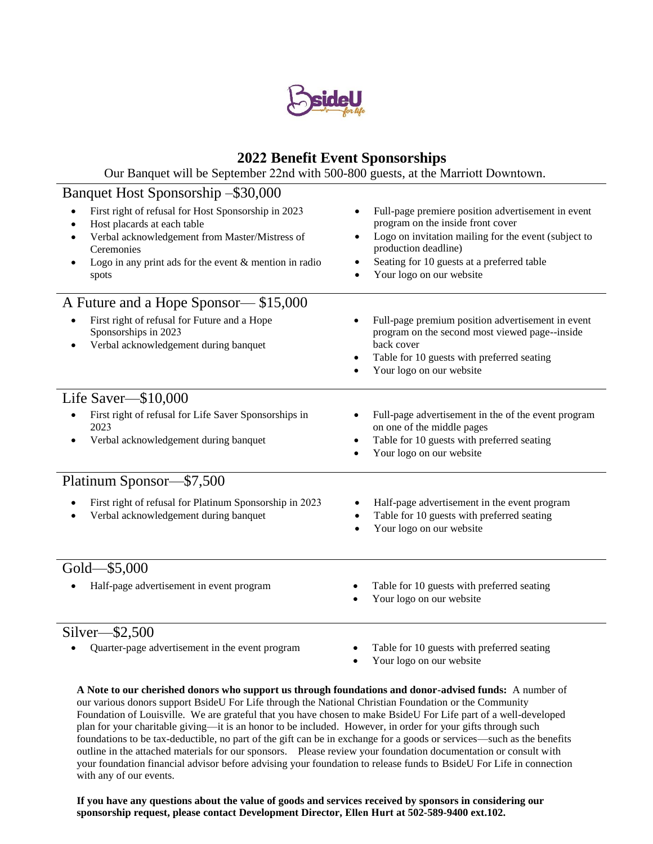

## **2022 Benefit Event Sponsorships**

Our Banquet will be September 22nd with 500-800 guests, at the Marriott Downtown.

## Banquet Host Sponsorship –\$30,000

| First right of refusal for Host Sponsorship in 2023<br>Host placards at each table<br>Verbal acknowledgement from Master/Mistress of<br>Ceremonies<br>Logo in any print ads for the event $&$ mention in radio<br>spots | Full-page premiere position advertisement in event<br>program on the inside front cover<br>Logo on invitation mailing for the event (subject to<br>production deadline)<br>Seating for 10 guests at a preferred table<br>Your logo on our website |
|-------------------------------------------------------------------------------------------------------------------------------------------------------------------------------------------------------------------------|---------------------------------------------------------------------------------------------------------------------------------------------------------------------------------------------------------------------------------------------------|
| A Future and a Hope Sponsor— \$15,000                                                                                                                                                                                   |                                                                                                                                                                                                                                                   |
| First right of refusal for Future and a Hope<br>Sponsorships in 2023<br>Verbal acknowledgement during banquet                                                                                                           | Full-page premium position advertisement in event<br>program on the second most viewed page--inside<br>back cover<br>Table for 10 guests with preferred seating<br>Your logo on our website                                                       |
| Life Saver—\$10,000                                                                                                                                                                                                     |                                                                                                                                                                                                                                                   |
| First right of refusal for Life Saver Sponsorships in<br>2023<br>Verbal acknowledgement during banquet                                                                                                                  | Full-page advertisement in the of the event program<br>on one of the middle pages<br>Table for 10 guests with preferred seating<br>Your logo on our website                                                                                       |
| Platinum Sponsor-\$7,500                                                                                                                                                                                                |                                                                                                                                                                                                                                                   |
| First right of refusal for Platinum Sponsorship in 2023<br>Verbal acknowledgement during banquet                                                                                                                        | Half-page advertisement in the event program<br>Table for 10 guests with preferred seating<br>Your logo on our website                                                                                                                            |
| Gold-\$5,000                                                                                                                                                                                                            |                                                                                                                                                                                                                                                   |
| Half-page advertisement in event program                                                                                                                                                                                | Table for 10 guests with preferred seating<br>Your logo on our website                                                                                                                                                                            |
| $\sim$ .1<br>$\triangle$ $\triangle$ $\triangle$ $\triangle$                                                                                                                                                            |                                                                                                                                                                                                                                                   |

## Silver—\$2,500

- Quarter-page advertisement in the event program **Table for 10 guests with preferred seating**
- - Your logo on our website

**A Note to our cherished donors who support us through foundations and donor-advised funds:** A number of our various donors support BsideU For Life through the National Christian Foundation or the Community Foundation of Louisville. We are grateful that you have chosen to make BsideU For Life part of a well-developed plan for your charitable giving—it is an honor to be included. However, in order for your gifts through such foundations to be tax-deductible, no part of the gift can be in exchange for a goods or services—such as the benefits outline in the attached materials for our sponsors. Please review your foundation documentation or consult with your foundation financial advisor before advising your foundation to release funds to BsideU For Life in connection with any of our events.

**If you have any questions about the value of goods and services received by sponsors in considering our sponsorship request, please contact Development Director, Ellen Hurt at 502-589-9400 ext.102.**